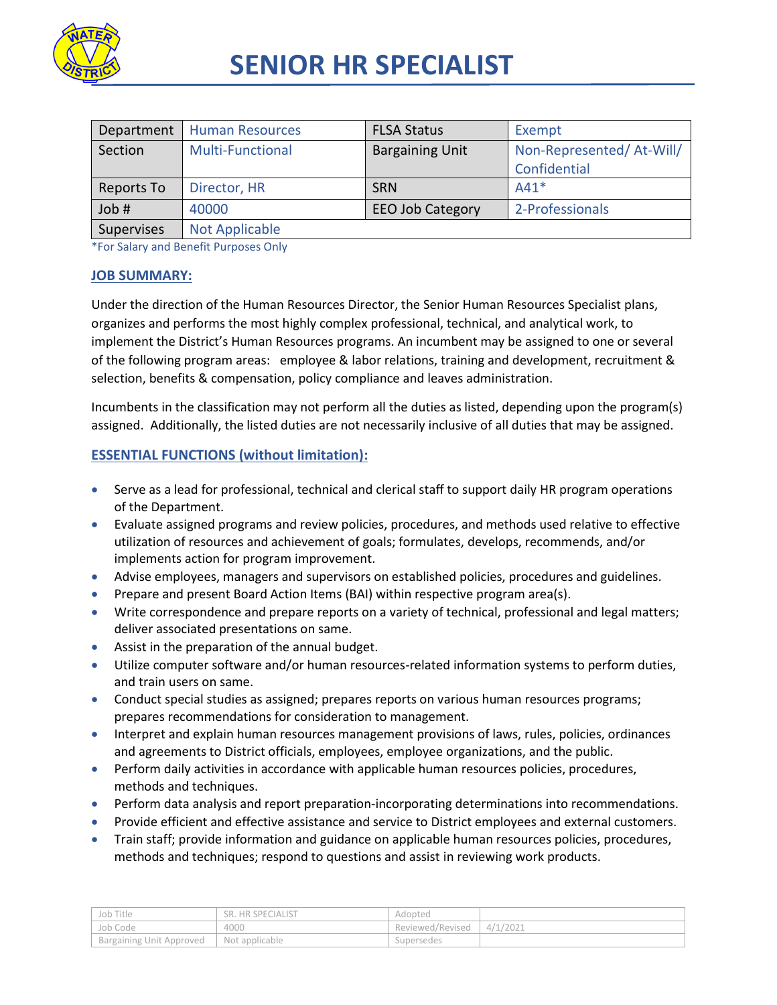

# **SENIOR HR SPECIALIST**

| Department | <b>Human Resources</b>  | <b>FLSA Status</b>      | Exempt                   |
|------------|-------------------------|-------------------------|--------------------------|
| Section    | <b>Multi-Functional</b> | <b>Bargaining Unit</b>  | Non-Represented/At-Will/ |
|            |                         |                         | Confidential             |
| Reports To | Director, HR            | <b>SRN</b>              | $A41*$                   |
| Job #      | 40000                   | <b>EEO Job Category</b> | 2-Professionals          |
| Supervises | <b>Not Applicable</b>   |                         |                          |

\*For Salary and Benefit Purposes Only

#### **JOB SUMMARY:**

Under the direction of the Human Resources Director, the Senior Human Resources Specialist plans, organizes and performs the most highly complex professional, technical, and analytical work, to implement the District's Human Resources programs. An incumbent may be assigned to one or several of the following program areas: employee & labor relations, training and development, recruitment & selection, benefits & compensation, policy compliance and leaves administration.

Incumbents in the classification may not perform all the duties as listed, depending upon the program(s) assigned. Additionally, the listed duties are not necessarily inclusive of all duties that may be assigned.

## **ESSENTIAL FUNCTIONS (without limitation):**

- Serve as a lead for professional, technical and clerical staff to support daily HR program operations of the Department.
- Evaluate assigned programs and review policies, procedures, and methods used relative to effective utilization of resources and achievement of goals; formulates, develops, recommends, and/or implements action for program improvement.
- Advise employees, managers and supervisors on established policies, procedures and guidelines.
- Prepare and present Board Action Items (BAI) within respective program area(s).
- Write correspondence and prepare reports on a variety of technical, professional and legal matters; deliver associated presentations on same.
- Assist in the preparation of the annual budget.
- Utilize computer software and/or human resources-related information systems to perform duties, and train users on same.
- Conduct special studies as assigned; prepares reports on various human resources programs; prepares recommendations for consideration to management.
- Interpret and explain human resources management provisions of laws, rules, policies, ordinances and agreements to District officials, employees, employee organizations, and the public.
- Perform daily activities in accordance with applicable human resources policies, procedures, methods and techniques.
- **•** Perform data analysis and report preparation-incorporating determinations into recommendations.
- Provide efficient and effective assistance and service to District employees and external customers.
- Train staff; provide information and guidance on applicable human resources policies, procedures, methods and techniques; respond to questions and assist in reviewing work products.

| Job Title                       | <b>HR SPECIALIST</b><br>SR. | Adopted          |         |
|---------------------------------|-----------------------------|------------------|---------|
| Job Code                        | 4000                        | Reviewed/Revised | 4/1/202 |
| <b>Bargaining Unit Approved</b> | Not applicable              | Supersedes       |         |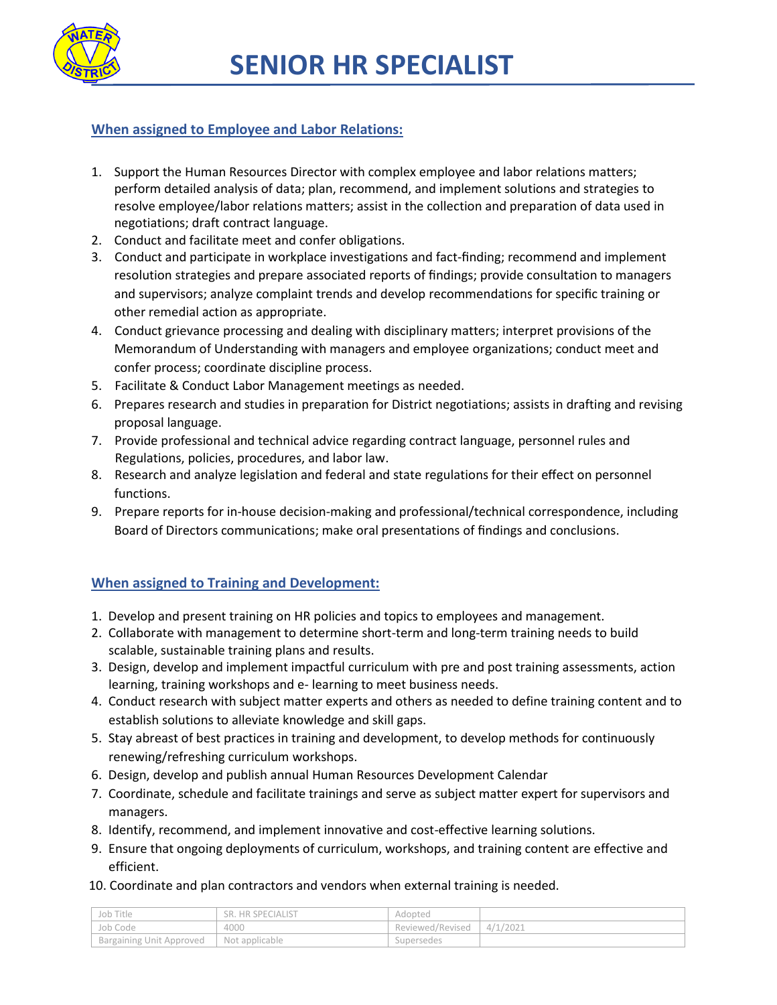

## **When assigned to Employee and Labor Relations:**

- 1. Support the Human Resources Director with complex employee and labor relations matters; perform detailed analysis of data; plan, recommend, and implement solutions and strategies to resolve employee/labor relations matters; assist in the collection and preparation of data used in negotiations; draft contract language.
- 2. Conduct and facilitate meet and confer obligations.
- 3. Conduct and participate in workplace investigations and fact-finding; recommend and implement resolution strategies and prepare associated reports of findings; provide consultation to managers and supervisors; analyze complaint trends and develop recommendations for specific training or other remedial action as appropriate.
- 4. Conduct grievance processing and dealing with disciplinary matters; interpret provisions of the Memorandum of Understanding with managers and employee organizations; conduct meet and confer process; coordinate discipline process.
- 5. Facilitate & Conduct Labor Management meetings as needed.
- 6. Prepares research and studies in preparation for District negotiations; assists in drafting and revising proposal language.
- 7. Provide professional and technical advice regarding contract language, personnel rules and Regulations, policies, procedures, and labor law.
- 8. Research and analyze legislation and federal and state regulations for their effect on personnel functions.
- 9. Prepare reports for in-house decision-making and professional/technical correspondence, including Board of Directors communications; make oral presentations of findings and conclusions.

## **When assigned to Training and Development:**

- 1. Develop and present training on HR policies and topics to employees and management.
- 2. Collaborate with management to determine short-term and long-term training needs to build scalable, sustainable training plans and results.
- 3. Design, develop and implement impactful curriculum with pre and post training assessments, action learning, training workshops and e- learning to meet business needs.
- 4. Conduct research with subject matter experts and others as needed to define training content and to establish solutions to alleviate knowledge and skill gaps.
- 5. Stay abreast of best practices in training and development, to develop methods for continuously renewing/refreshing curriculum workshops.
- 6. Design, develop and publish annual Human Resources Development Calendar
- 7. Coordinate, schedule and facilitate trainings and serve as subject matter expert for supervisors and managers.
- 8. Identify, recommend, and implement innovative and cost-effective learning solutions.
- 9. Ensure that ongoing deployments of curriculum, workshops, and training content are effective and efficient.
- 10. Coordinate and plan contractors and vendors when external training is needed.

| Job Title                | . HR SPECIALIST<br>SR. | Adopted          |          |
|--------------------------|------------------------|------------------|----------|
| Job Code                 | 4000                   | Reviewed/Revised | 4/1/2021 |
| Bargaining Unit Approved | Not applicable         | Supersedes       |          |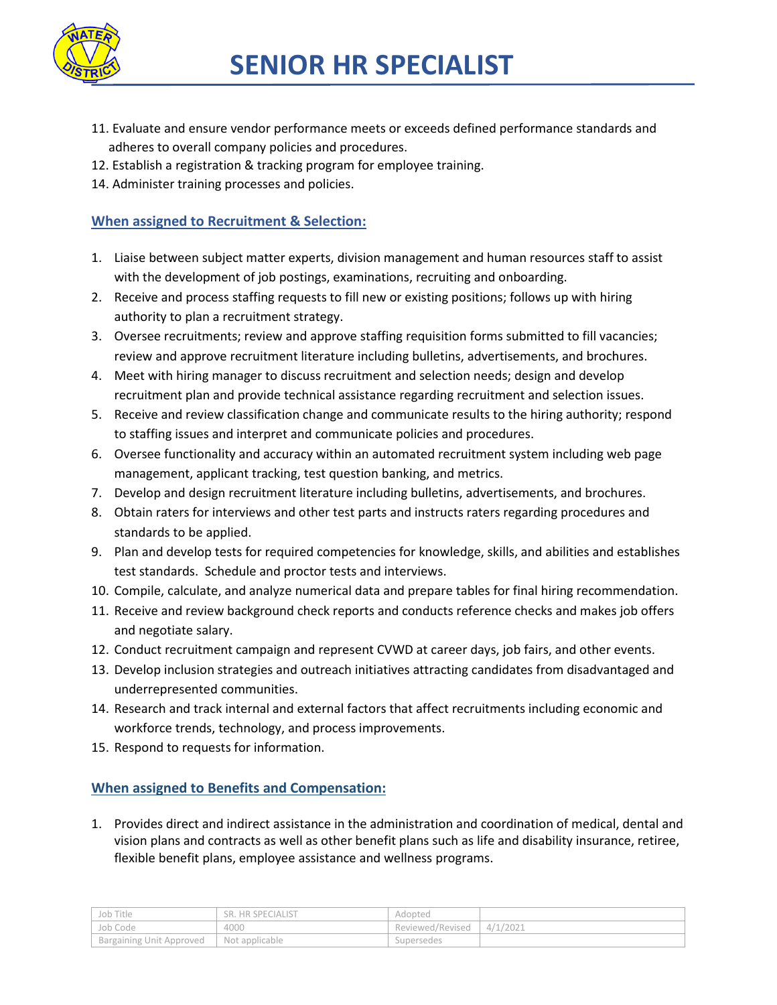

- 11. Evaluate and ensure vendor performance meets or exceeds defined performance standards and adheres to overall company policies and procedures.
- 12. Establish a registration & tracking program for employee training.
- 14. Administer training processes and policies.

## **When assigned to Recruitment & Selection:**

- 1. Liaise between subject matter experts, division management and human resources staff to assist with the development of job postings, examinations, recruiting and onboarding.
- 2. Receive and process staffing requests to fill new or existing positions; follows up with hiring authority to plan a recruitment strategy.
- 3. Oversee recruitments; review and approve staffing requisition forms submitted to fill vacancies; review and approve recruitment literature including bulletins, advertisements, and brochures.
- 4. Meet with hiring manager to discuss recruitment and selection needs; design and develop recruitment plan and provide technical assistance regarding recruitment and selection issues.
- 5. Receive and review classification change and communicate results to the hiring authority; respond to staffing issues and interpret and communicate policies and procedures.
- 6. Oversee functionality and accuracy within an automated recruitment system including web page management, applicant tracking, test question banking, and metrics.
- 7. Develop and design recruitment literature including bulletins, advertisements, and brochures.
- 8. Obtain raters for interviews and other test parts and instructs raters regarding procedures and standards to be applied.
- 9. Plan and develop tests for required competencies for knowledge, skills, and abilities and establishes test standards. Schedule and proctor tests and interviews.
- 10. Compile, calculate, and analyze numerical data and prepare tables for final hiring recommendation.
- 11. Receive and review background check reports and conducts reference checks and makes job offers and negotiate salary.
- 12. Conduct recruitment campaign and represent CVWD at career days, job fairs, and other events.
- 13. Develop inclusion strategies and outreach initiatives attracting candidates from disadvantaged and underrepresented communities.
- 14. Research and track internal and external factors that affect recruitments including economic and workforce trends, technology, and process improvements.
- 15. Respond to requests for information.

## **When assigned to Benefits and Compensation:**

1. Provides direct and indirect assistance in the administration and coordination of medical, dental and vision plans and contracts as well as other benefit plans such as life and disability insurance, retiree, flexible benefit plans, employee assistance and wellness programs.

| Job Title                | . HR SPECIALIST<br>SR. | Adopted          |          |
|--------------------------|------------------------|------------------|----------|
| Job Code                 | 4000                   | Reviewed/Revised | 4/1/2021 |
| Bargaining Unit Approved | Not applicable         | Supersedes       |          |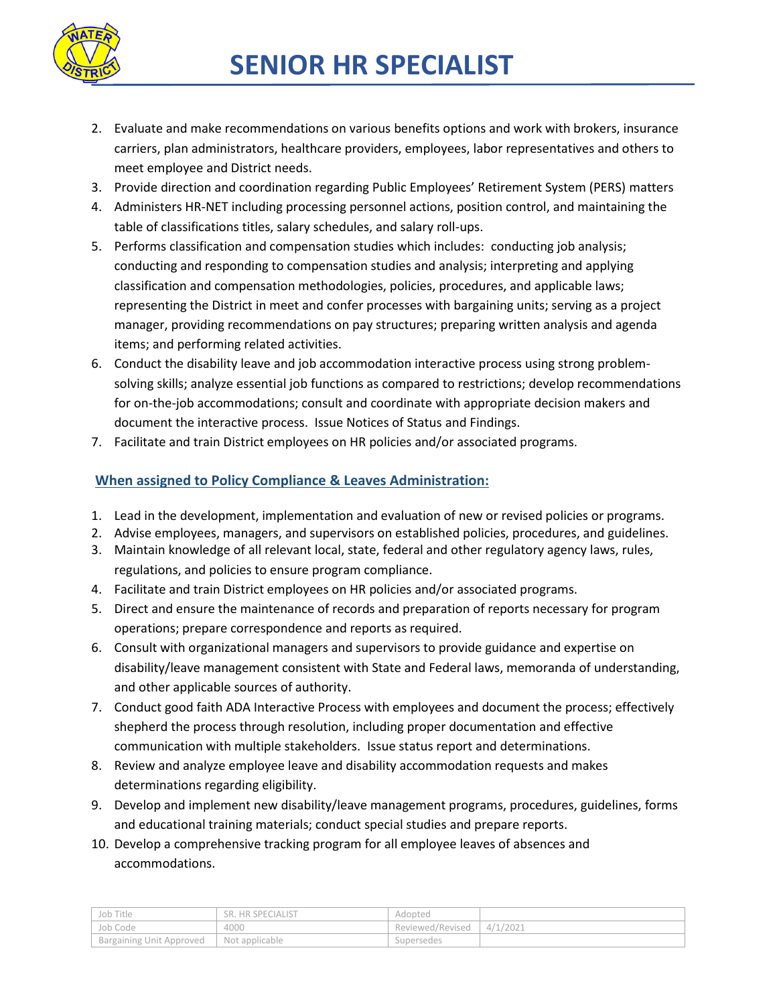

- 2. Evaluate and make recommendations on various benefits options and work with brokers, insurance carriers, plan administrators, healthcare providers, employees, labor representatives and others to meet employee and District needs.
- 3. Provide direction and coordination regarding Public Employees' Retirement System (PERS) matters
- 4. Administers HR-NET including processing personnel actions, position control, and maintaining the table of classifications titles, salary schedules, and salary roll-ups.
- 5. Performs classification and compensation studies which includes: conducting job analysis; conducting and responding to compensation studies and analysis; interpreting and applying classification and compensation methodologies, policies, procedures, and applicable laws; representing the District in meet and confer processes with bargaining units; serving as a project manager, providing recommendations on pay structures; preparing written analysis and agenda items; and performing related activities.
- 6. Conduct the disability leave and job accommodation interactive process using strong problemsolving skills; analyze essential job functions as compared to restrictions; develop recommendations for on-the-job accommodations; consult and coordinate with appropriate decision makers and document the interactive process. Issue Notices of Status and Findings.
- 7. Facilitate and train District employees on HR policies and/or associated programs.

## **When assigned to Policy Compliance & Leaves Administration:**

- 1. Lead in the development, implementation and evaluation of new or revised policies or programs.
- 2. Advise employees, managers, and supervisors on established policies, procedures, and guidelines.
- 3. Maintain knowledge of all relevant local, state, federal and other regulatory agency laws, rules, regulations, and policies to ensure program compliance.
- 4. Facilitate and train District employees on HR policies and/or associated programs.
- 5. Direct and ensure the maintenance of records and preparation of reports necessary for program operations; prepare correspondence and reports as required.
- 6. Consult with organizational managers and supervisors to provide guidance and expertise on disability/leave management consistent with State and Federal laws, memoranda of understanding, and other applicable sources of authority.
- 7. Conduct good faith ADA Interactive Process with employees and document the process; effectively shepherd the process through resolution, including proper documentation and effective communication with multiple stakeholders. Issue status report and determinations.
- 8. Review and analyze employee leave and disability accommodation requests and makes determinations regarding eligibility.
- 9. Develop and implement new disability/leave management programs, procedures, guidelines, forms and educational training materials; conduct special studies and prepare reports.
- 10. Develop a comprehensive tracking program for all employee leaves of absences and accommodations.

| Job Title                | SR. HR SPECIALIST | Adopted          |          |
|--------------------------|-------------------|------------------|----------|
| Job Code                 | 4000              | Reviewed/Revised | 4/1/2021 |
| Bargaining Unit Approved | Not applicable    | Supersedes       |          |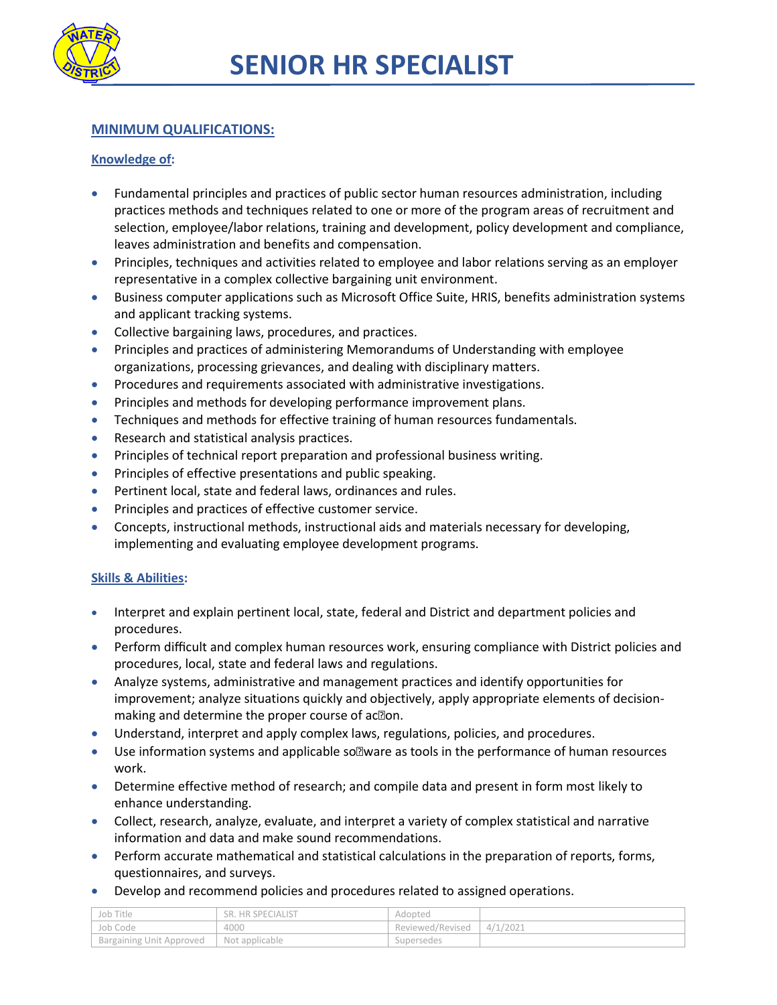

## **MINIMUM QUALIFICATIONS:**

#### **Knowledge of:**

- Fundamental principles and practices of public sector human resources administration, including practices methods and techniques related to one or more of the program areas of recruitment and selection, employee/labor relations, training and development, policy development and compliance, leaves administration and benefits and compensation.
- Principles, techniques and activities related to employee and labor relations serving as an employer representative in a complex collective bargaining unit environment.
- Business computer applications such as Microsoft Office Suite, HRIS, benefits administration systems and applicant tracking systems.
- Collective bargaining laws, procedures, and practices.
- Principles and practices of administering Memorandums of Understanding with employee organizations, processing grievances, and dealing with disciplinary matters.
- **•** Procedures and requirements associated with administrative investigations.
- Principles and methods for developing performance improvement plans.
- Techniques and methods for effective training of human resources fundamentals.
- Research and statistical analysis practices.
- Principles of technical report preparation and professional business writing.
- **•** Principles of effective presentations and public speaking.
- **•** Pertinent local, state and federal laws, ordinances and rules.
- **•** Principles and practices of effective customer service.
- Concepts, instructional methods, instructional aids and materials necessary for developing, implementing and evaluating employee development programs.

#### **Skills & Abilities:**

- Interpret and explain pertinent local, state, federal and District and department policies and procedures.
- **•** Perform difficult and complex human resources work, ensuring compliance with District policies and procedures, local, state and federal laws and regulations.
- Analyze systems, administrative and management practices and identify opportunities for improvement; analyze situations quickly and objectively, apply appropriate elements of decisionmaking and determine the proper course of ac $\mathbb Z$ on.
- Understand, interpret and apply complex laws, regulations, policies, and procedures.
- $\bullet$  Use information systems and applicable so $\mathbb Z$  ware as tools in the performance of human resources work.
- Determine effective method of research; and compile data and present in form most likely to enhance understanding.
- Collect, research, analyze, evaluate, and interpret a variety of complex statistical and narrative information and data and make sound recommendations.
- Perform accurate mathematical and statistical calculations in the preparation of reports, forms, questionnaires, and surveys.
- Develop and recommend policies and procedures related to assigned operations.

| Job Title                | <b>SR. HR SPECIALIST</b> | Adopted          |          |
|--------------------------|--------------------------|------------------|----------|
| Job Code                 | 4000                     | Reviewed/Revised | 4/1/2021 |
| Bargaining Unit Approved | Not applicable           | Supersedes       |          |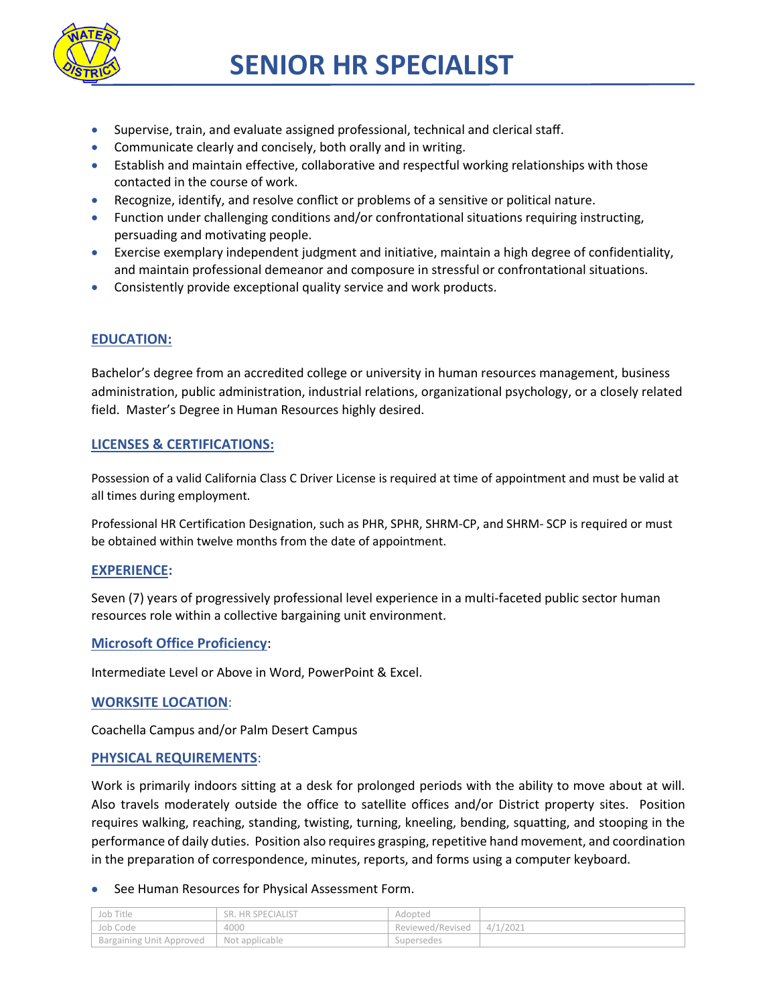

- Supervise, train, and evaluate assigned professional, technical and clerical staff.
- Communicate clearly and concisely, both orally and in writing.
- Establish and maintain effective, collaborative and respectful working relationships with those contacted in the course of work.
- Recognize, identify, and resolve conflict or problems of a sensitive or political nature.
- Function under challenging conditions and/or confrontational situations requiring instructing, persuading and motivating people.
- Exercise exemplary independent judgment and initiative, maintain a high degree of confidentiality, and maintain professional demeanor and composure in stressful or confrontational situations.
- Consistently provide exceptional quality service and work products.

## **EDUCATION:**

Bachelor's degree from an accredited college or university in human resources management, business administration, public administration, industrial relations, organizational psychology, or a closely related field. Master's Degree in Human Resources highly desired.

#### **LICENSES & CERTIFICATIONS:**

Possession of a valid California Class C Driver License is required at time of appointment and must be valid at all times during employment.

Professional HR Certification Designation, such as PHR, SPHR, SHRM-CP, and SHRM- SCP is required or must be obtained within twelve months from the date of appointment.

#### **EXPERIENCE:**

Seven (7) years of progressively professional level experience in a multi-faceted public sector human resources role within a collective bargaining unit environment.

#### **Microsoft Office Proficiency**:

Intermediate Level or Above in Word, PowerPoint & Excel.

#### **WORKSITE LOCATION**:

Coachella Campus and/or Palm Desert Campus

#### **PHYSICAL REQUIREMENTS**:

Work is primarily indoors sitting at a desk for prolonged periods with the ability to move about at will. Also travels moderately outside the office to satellite offices and/or District property sites. Position requires walking, reaching, standing, twisting, turning, kneeling, bending, squatting, and stooping in the performance of daily duties. Position also requires grasping, repetitive hand movement, and coordination in the preparation of correspondence, minutes, reports, and forms using a computer keyboard.

#### See Human Resources for Physical Assessment Form.

| Job Title                       | SR. HR SPECIALIST | Adopted          |          |
|---------------------------------|-------------------|------------------|----------|
| Job Code                        | 4000              | Reviewed/Revised | 4/1/2021 |
| <b>Bargaining Unit Approved</b> | Not applicable    | Supersedes       |          |